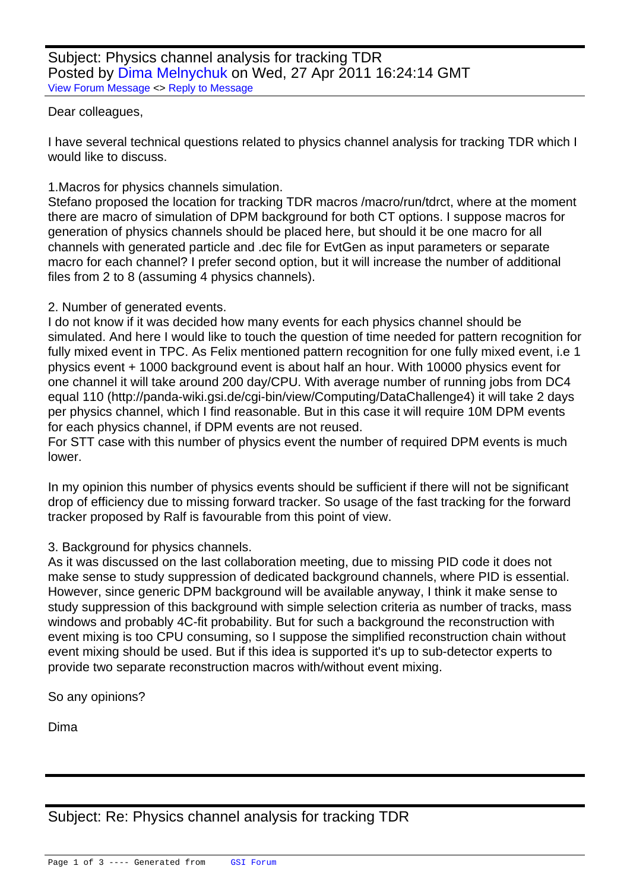## Dear colleagues,

[I have several tech](https://forum.gsi.de/index.php?t=rview&th=3095&goto=11721#msg_11721)ni[cal questions re](https://forum.gsi.de/index.php?t=post&reply_to=11721)lated to physics channel analysis for tracking TDR which I would like to discuss.

## 1.Macros for physics channels simulation.

Stefano proposed the location for tracking TDR macros /macro/run/tdrct, where at the moment there are macro of simulation of DPM background for both CT options. I suppose macros for generation of physics channels should be placed here, but should it be one macro for all channels with generated particle and .dec file for EvtGen as input parameters or separate macro for each channel? I prefer second option, but it will increase the number of additional files from 2 to 8 (assuming 4 physics channels).

## 2. Number of generated events.

I do not know if it was decided how many events for each physics channel should be simulated. And here I would like to touch the question of time needed for pattern recognition for fully mixed event in TPC. As Felix mentioned pattern recognition for one fully mixed event, i.e 1 physics event + 1000 background event is about half an hour. With 10000 physics event for one channel it will take around 200 day/CPU. With average number of running jobs from DC4 equal 110 (http://panda-wiki.gsi.de/cgi-bin/view/Computing/DataChallenge4) it will take 2 days per physics channel, which I find reasonable. But in this case it will require 10M DPM events for each physics channel, if DPM events are not reused.

For STT case with this number of physics event the number of required DPM events is much lower.

In my opinion this number of physics events should be sufficient if there will not be significant drop of efficiency due to missing forward tracker. So usage of the fast tracking for the forward tracker proposed by Ralf is favourable from this point of view.

## 3. Background for physics channels.

As it was discussed on the last collaboration meeting, due to missing PID code it does not make sense to study suppression of dedicated background channels, where PID is essential. However, since generic DPM background will be available anyway, I think it make sense to study suppression of this background with simple selection criteria as number of tracks, mass windows and probably 4C-fit probability. But for such a background the reconstruction with event mixing is too CPU consuming, so I suppose the simplified reconstruction chain without event mixing should be used. But if this idea is supported it's up to sub-detector experts to provide two separate reconstruction macros with/without event mixing.

So any opinions?

Dima

Subject: Re: Physics channel analysis for tracking TDR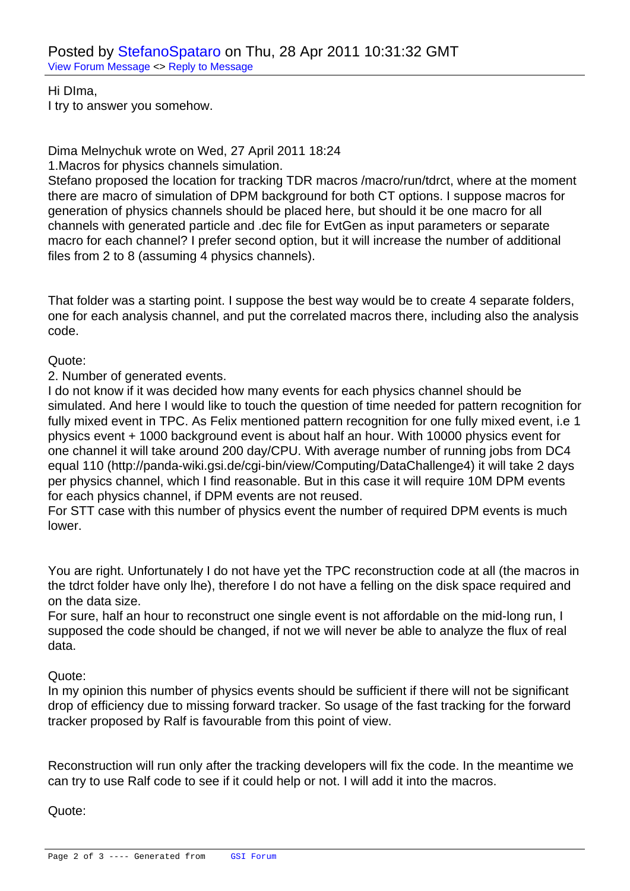Hi DIma, I try to answ[er you somehow.](https://forum.gsi.de/index.php?t=usrinfo&id=306)

Dima Melnychuk wrote on Wed, 27 April 2011 18:24

1.Macros for physics channels simulation.

Stefano proposed the location for tracking TDR macros /macro/run/tdrct, where at the moment there are macro of simulation of DPM background for both CT options. I suppose macros for generation of physics channels should be placed here, but should it be one macro for all channels with generated particle and .dec file for EvtGen as input parameters or separate macro for each channel? I prefer second option, but it will increase the number of additional files from 2 to 8 (assuming 4 physics channels).

That folder was a starting point. I suppose the best way would be to create 4 separate folders, one for each analysis channel, and put the correlated macros there, including also the analysis code.

Quote:

2. Number of generated events.

I do not know if it was decided how many events for each physics channel should be simulated. And here I would like to touch the question of time needed for pattern recognition for fully mixed event in TPC. As Felix mentioned pattern recognition for one fully mixed event, i.e 1 physics event + 1000 background event is about half an hour. With 10000 physics event for one channel it will take around 200 day/CPU. With average number of running jobs from DC4 equal 110 (http://panda-wiki.gsi.de/cgi-bin/view/Computing/DataChallenge4) it will take 2 days per physics channel, which I find reasonable. But in this case it will require 10M DPM events for each physics channel, if DPM events are not reused.

For STT case with this number of physics event the number of required DPM events is much lower.

You are right. Unfortunately I do not have yet the TPC reconstruction code at all (the macros in the tdrct folder have only lhe), therefore I do not have a felling on the disk space required and on the data size.

For sure, half an hour to reconstruct one single event is not affordable on the mid-long run, I supposed the code should be changed, if not we will never be able to analyze the flux of real data.

Quote:

In my opinion this number of physics events should be sufficient if there will not be significant drop of efficiency due to missing forward tracker. So usage of the fast tracking for the forward tracker proposed by Ralf is favourable from this point of view.

Reconstruction will run only after the tracking developers will fix the code. In the meantime we can try to use Ralf code to see if it could help or not. I will add it into the macros.

Quote: